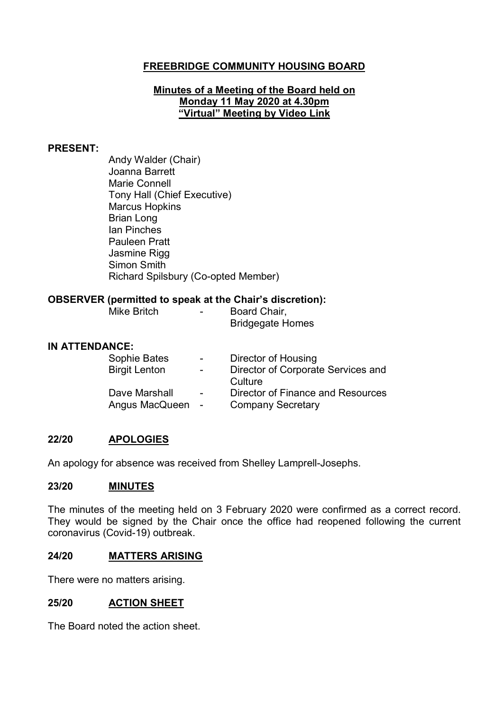# **FREEBRIDGE COMMUNITY HOUSING BOARD**

#### **Minutes of a Meeting of the Board held on Monday 11 May 2020 at 4.30pm "Virtual" Meeting by Video Link**

#### **PRESENT:**

Andy Walder (Chair) Joanna Barrett Marie Connell Tony Hall (Chief Executive) Marcus Hopkins Brian Long Ian Pinches Pauleen Pratt Jasmine Rigg Simon Smith Richard Spilsbury (Co-opted Member)

#### **OBSERVER (permitted to speak at the Chair's discretion):**

| Mike Britch |  | Board Chair,            |  |
|-------------|--|-------------------------|--|
|             |  | <b>Bridgegate Homes</b> |  |

#### **IN ATTENDANCE:**

| Sophie Bates         | $\sim$ 100 $\mu$ | <b>Director of Housing</b>         |
|----------------------|------------------|------------------------------------|
| <b>Birgit Lenton</b> | $\sim$ $-$       | Director of Corporate Services and |
|                      |                  | Culture                            |
| Dave Marshall        | $\sim$           | Director of Finance and Resources  |
| Angus MacQueen -     |                  | <b>Company Secretary</b>           |

## **22/20 APOLOGIES**

An apology for absence was received from Shelley Lamprell-Josephs.

#### **23/20 MINUTES**

The minutes of the meeting held on 3 February 2020 were confirmed as a correct record. They would be signed by the Chair once the office had reopened following the current coronavirus (Covid-19) outbreak.

#### **24/20 MATTERS ARISING**

There were no matters arising.

#### **25/20 ACTION SHEET**

The Board noted the action sheet.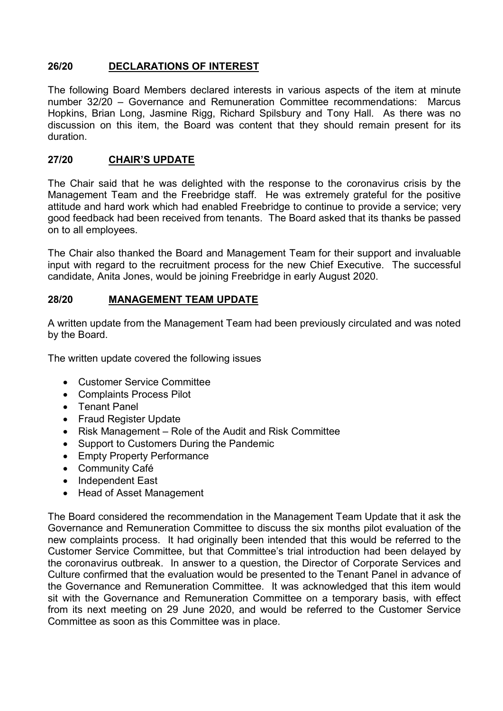# **26/20 DECLARATIONS OF INTEREST**

The following Board Members declared interests in various aspects of the item at minute number 32/20 – Governance and Remuneration Committee recommendations: Marcus Hopkins, Brian Long, Jasmine Rigg, Richard Spilsbury and Tony Hall. As there was no discussion on this item, the Board was content that they should remain present for its duration.

## **27/20 CHAIR'S UPDATE**

The Chair said that he was delighted with the response to the coronavirus crisis by the Management Team and the Freebridge staff. He was extremely grateful for the positive attitude and hard work which had enabled Freebridge to continue to provide a service; very good feedback had been received from tenants. The Board asked that its thanks be passed on to all employees.

The Chair also thanked the Board and Management Team for their support and invaluable input with regard to the recruitment process for the new Chief Executive. The successful candidate, Anita Jones, would be joining Freebridge in early August 2020.

# **28/20 MANAGEMENT TEAM UPDATE**

A written update from the Management Team had been previously circulated and was noted by the Board.

The written update covered the following issues

- Customer Service Committee
- Complaints Process Pilot
- Tenant Panel
- Fraud Register Update
- Risk Management Role of the Audit and Risk Committee
- Support to Customers During the Pandemic
- Empty Property Performance
- Community Café
- Independent East
- Head of Asset Management

The Board considered the recommendation in the Management Team Update that it ask the Governance and Remuneration Committee to discuss the six months pilot evaluation of the new complaints process. It had originally been intended that this would be referred to the Customer Service Committee, but that Committee's trial introduction had been delayed by the coronavirus outbreak. In answer to a question, the Director of Corporate Services and Culture confirmed that the evaluation would be presented to the Tenant Panel in advance of the Governance and Remuneration Committee. It was acknowledged that this item would sit with the Governance and Remuneration Committee on a temporary basis, with effect from its next meeting on 29 June 2020, and would be referred to the Customer Service Committee as soon as this Committee was in place.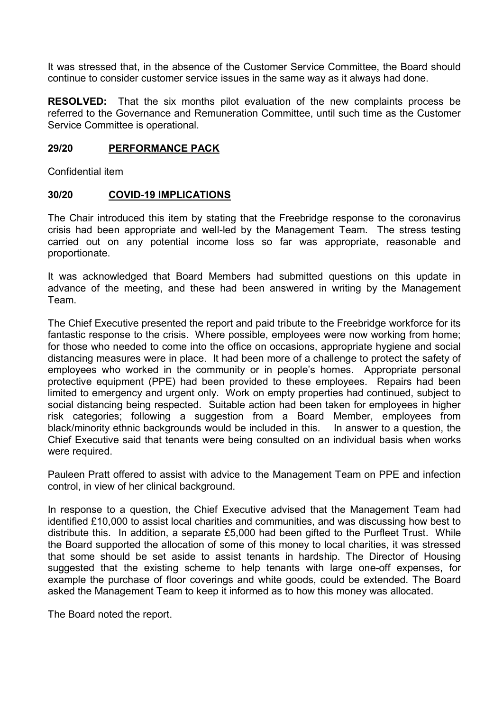It was stressed that, in the absence of the Customer Service Committee, the Board should continue to consider customer service issues in the same way as it always had done.

**RESOLVED:** That the six months pilot evaluation of the new complaints process be referred to the Governance and Remuneration Committee, until such time as the Customer Service Committee is operational.

#### **29/20 PERFORMANCE PACK**

Confidential item

#### **30/20 COVID-19 IMPLICATIONS**

The Chair introduced this item by stating that the Freebridge response to the coronavirus crisis had been appropriate and well-led by the Management Team. The stress testing carried out on any potential income loss so far was appropriate, reasonable and proportionate.

It was acknowledged that Board Members had submitted questions on this update in advance of the meeting, and these had been answered in writing by the Management Team.

The Chief Executive presented the report and paid tribute to the Freebridge workforce for its fantastic response to the crisis. Where possible, employees were now working from home; for those who needed to come into the office on occasions, appropriate hygiene and social distancing measures were in place. It had been more of a challenge to protect the safety of employees who worked in the community or in people's homes. Appropriate personal protective equipment (PPE) had been provided to these employees. Repairs had been limited to emergency and urgent only. Work on empty properties had continued, subject to social distancing being respected. Suitable action had been taken for employees in higher risk categories; following a suggestion from a Board Member, employees from black/minority ethnic backgrounds would be included in this. In answer to a question, the Chief Executive said that tenants were being consulted on an individual basis when works were required.

Pauleen Pratt offered to assist with advice to the Management Team on PPE and infection control, in view of her clinical background.

In response to a question, the Chief Executive advised that the Management Team had identified £10,000 to assist local charities and communities, and was discussing how best to distribute this. In addition, a separate £5,000 had been gifted to the Purfleet Trust. While the Board supported the allocation of some of this money to local charities, it was stressed that some should be set aside to assist tenants in hardship. The Director of Housing suggested that the existing scheme to help tenants with large one-off expenses, for example the purchase of floor coverings and white goods, could be extended. The Board asked the Management Team to keep it informed as to how this money was allocated.

The Board noted the report.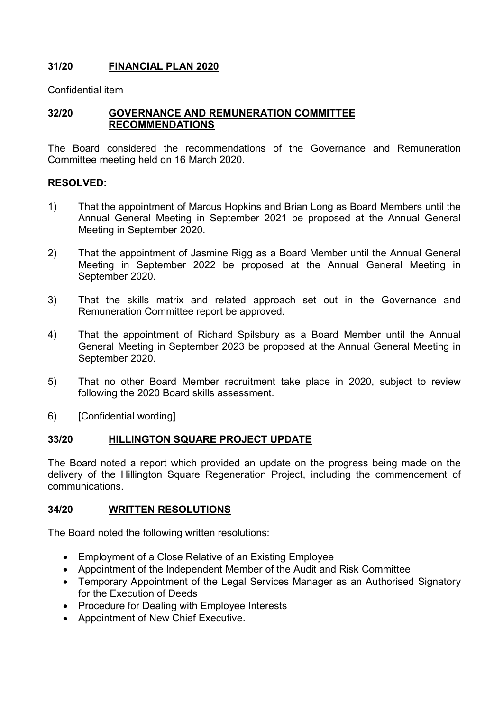# **31/20 FINANCIAL PLAN 2020**

Confidential item

## **32/20 GOVERNANCE AND REMUNERATION COMMITTEE RECOMMENDATIONS**

The Board considered the recommendations of the Governance and Remuneration Committee meeting held on 16 March 2020.

### **RESOLVED:**

- 1) That the appointment of Marcus Hopkins and Brian Long as Board Members until the Annual General Meeting in September 2021 be proposed at the Annual General Meeting in September 2020.
- 2) That the appointment of Jasmine Rigg as a Board Member until the Annual General Meeting in September 2022 be proposed at the Annual General Meeting in September 2020.
- 3) That the skills matrix and related approach set out in the Governance and Remuneration Committee report be approved.
- 4) That the appointment of Richard Spilsbury as a Board Member until the Annual General Meeting in September 2023 be proposed at the Annual General Meeting in September 2020.
- 5) That no other Board Member recruitment take place in 2020, subject to review following the 2020 Board skills assessment.
- 6) [Confidential wording]

### **33/20 HILLINGTON SQUARE PROJECT UPDATE**

The Board noted a report which provided an update on the progress being made on the delivery of the Hillington Square Regeneration Project, including the commencement of communications.

### **34/20 WRITTEN RESOLUTIONS**

The Board noted the following written resolutions:

- Employment of a Close Relative of an Existing Employee
- Appointment of the Independent Member of the Audit and Risk Committee
- Temporary Appointment of the Legal Services Manager as an Authorised Signatory for the Execution of Deeds
- Procedure for Dealing with Employee Interests
- Appointment of New Chief Executive.